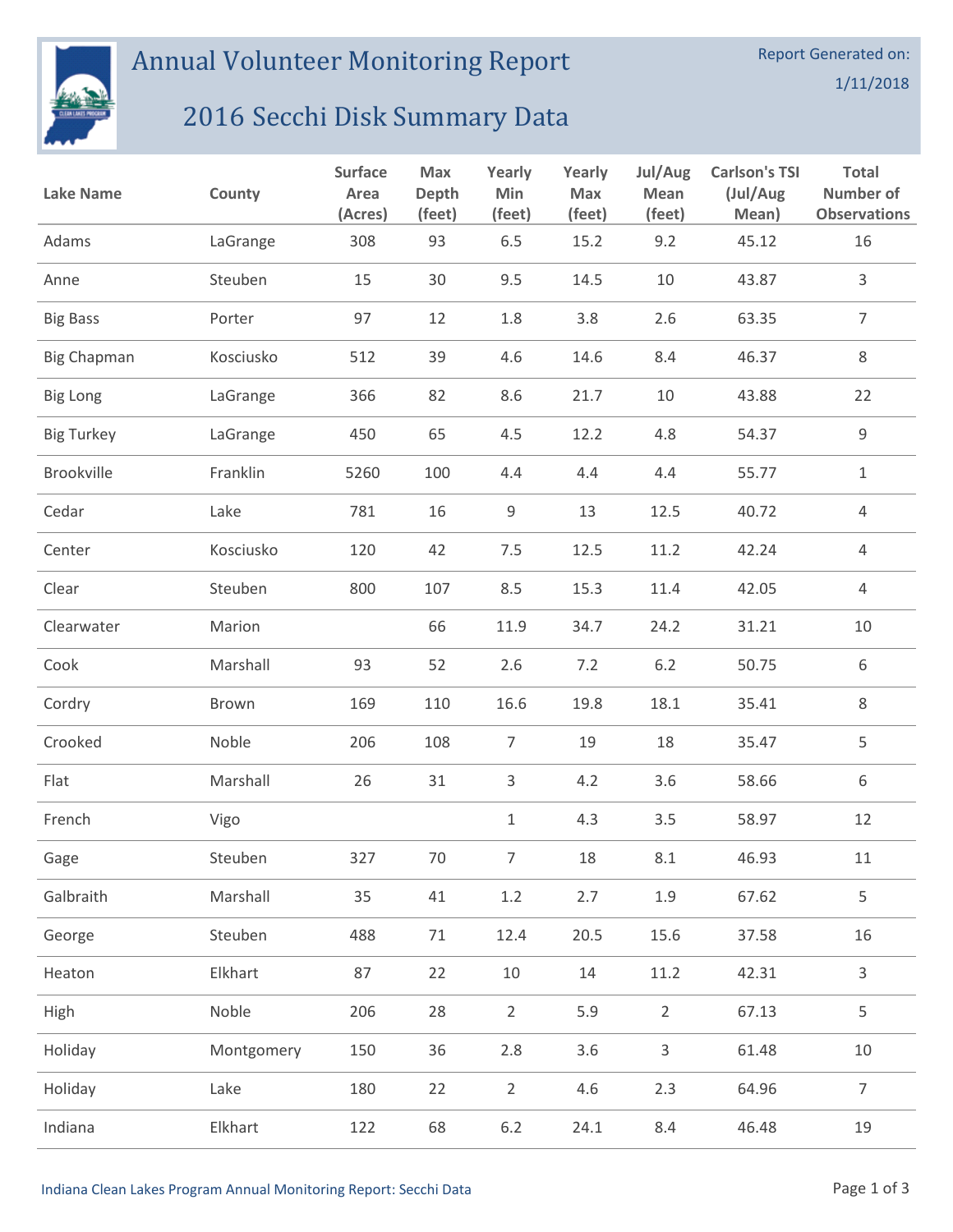

Annual Volunteer Monitoring Report

## 2016 Secchi Disk Summary Data

| <b>Lake Name</b>   | County     | <b>Surface</b><br>Area<br>(Acres) | Max<br><b>Depth</b><br>(feet) | Yearly<br>Min<br>(feet) | Yearly<br>Max<br>(feet) | Jul/Aug<br>Mean<br>(feet) | <b>Carlson's TSI</b><br>(Jul/Aug<br>Mean) | <b>Total</b><br>Number of<br><b>Observations</b> |
|--------------------|------------|-----------------------------------|-------------------------------|-------------------------|-------------------------|---------------------------|-------------------------------------------|--------------------------------------------------|
| Adams              | LaGrange   | 308                               | 93                            | 6.5                     | 15.2                    | 9.2                       | 45.12                                     | 16                                               |
| Anne               | Steuben    | 15                                | 30                            | 9.5                     | 14.5                    | 10                        | 43.87                                     | 3                                                |
| <b>Big Bass</b>    | Porter     | 97                                | 12                            | 1.8                     | 3.8                     | 2.6                       | 63.35                                     | $\overline{7}$                                   |
| <b>Big Chapman</b> | Kosciusko  | 512                               | 39                            | 4.6                     | 14.6                    | 8.4                       | 46.37                                     | $\,8\,$                                          |
| <b>Big Long</b>    | LaGrange   | 366                               | 82                            | 8.6                     | 21.7                    | 10                        | 43.88                                     | 22                                               |
| <b>Big Turkey</b>  | LaGrange   | 450                               | 65                            | 4.5                     | 12.2                    | 4.8                       | 54.37                                     | $\mathsf 9$                                      |
| Brookville         | Franklin   | 5260                              | 100                           | 4.4                     | 4.4                     | 4.4                       | 55.77                                     | $\mathbf{1}$                                     |
| Cedar              | Lake       | 781                               | 16                            | $\mathsf 9$             | 13                      | 12.5                      | 40.72                                     | $\overline{4}$                                   |
| Center             | Kosciusko  | 120                               | 42                            | 7.5                     | 12.5                    | 11.2                      | 42.24                                     | $\overline{4}$                                   |
| Clear              | Steuben    | 800                               | 107                           | 8.5                     | 15.3                    | 11.4                      | 42.05                                     | $\overline{4}$                                   |
| Clearwater         | Marion     |                                   | 66                            | 11.9                    | 34.7                    | 24.2                      | 31.21                                     | 10                                               |
| Cook               | Marshall   | 93                                | 52                            | 2.6                     | 7.2                     | 6.2                       | 50.75                                     | 6                                                |
| Cordry             | Brown      | 169                               | 110                           | 16.6                    | 19.8                    | 18.1                      | 35.41                                     | 8                                                |
| Crooked            | Noble      | 206                               | 108                           | $\overline{7}$          | 19                      | 18                        | 35.47                                     | 5                                                |
| Flat               | Marshall   | 26                                | 31                            | $\mathsf{3}$            | 4.2                     | 3.6                       | 58.66                                     | 6                                                |
| French             | Vigo       |                                   |                               | $\mathbf{1}$            | 4.3                     | 3.5                       | 58.97                                     | 12                                               |
| Gage               | Steuben    | 327                               | 70                            | 7 <sup>7</sup>          | 18                      | 8.1                       | 46.93                                     | 11                                               |
| Galbraith          | Marshall   | 35                                | 41                            | $1.2\,$                 | 2.7                     | 1.9                       | 67.62                                     | 5                                                |
| George             | Steuben    | 488                               | $71\,$                        | 12.4                    | 20.5                    | 15.6                      | 37.58                                     | 16                                               |
| Heaton             | Elkhart    | 87                                | 22                            | $10\,$                  | 14                      | 11.2                      | 42.31                                     | 3                                                |
| High               | Noble      | 206                               | 28                            | $\overline{2}$          | 5.9                     | $\overline{2}$            | 67.13                                     | 5                                                |
| Holiday            | Montgomery | 150                               | 36                            | 2.8                     | 3.6                     | $\mathsf{3}$              | 61.48                                     | $10\,$                                           |
| Holiday            | Lake       | 180                               | 22                            | $\overline{2}$          | 4.6                     | 2.3                       | 64.96                                     | $\overline{7}$                                   |
| Indiana            | Elkhart    | 122                               | 68                            | $6.2\,$                 | 24.1                    | 8.4                       | 46.48                                     | 19                                               |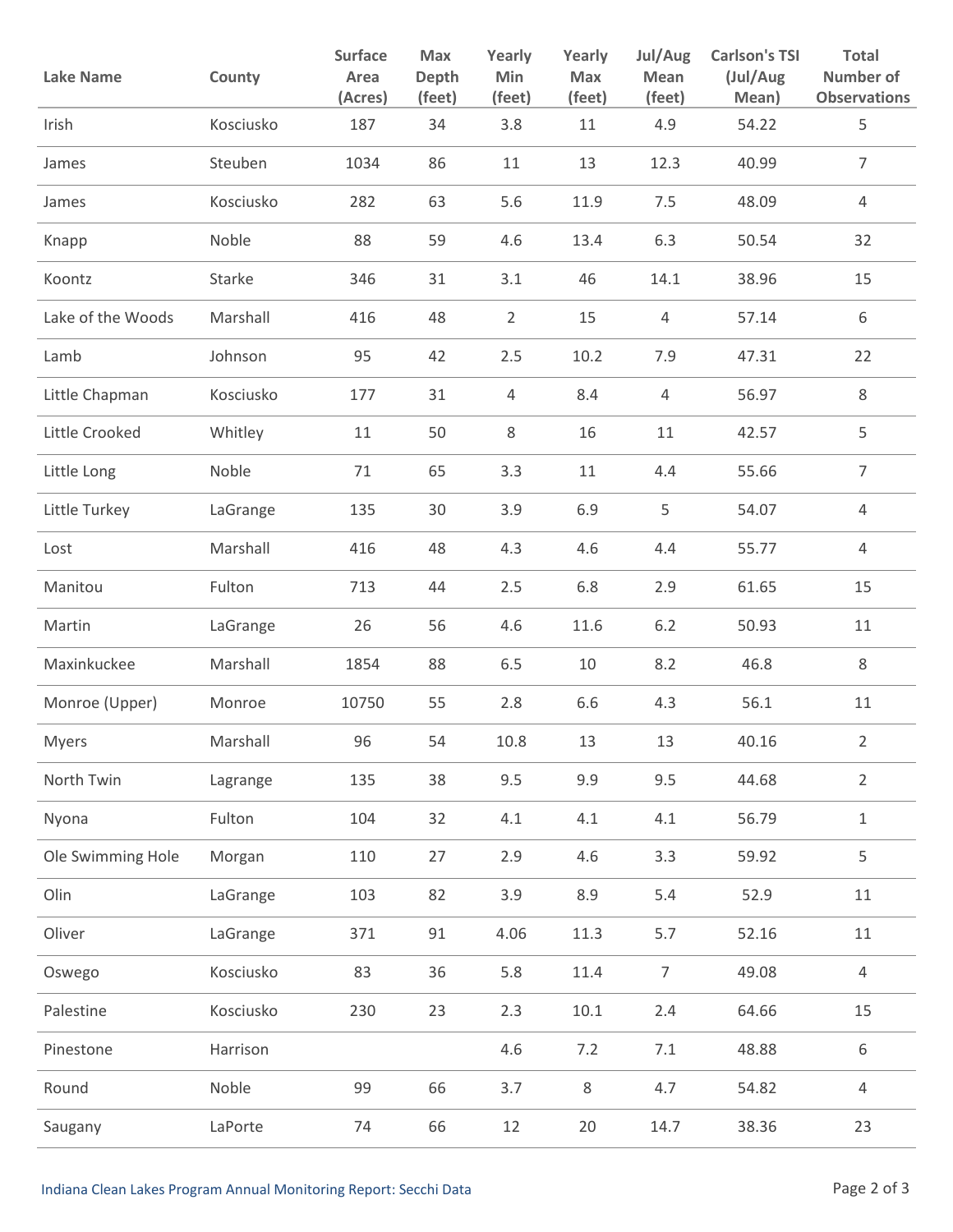| <b>Lake Name</b>  | County    | Surface<br>Area<br>(Acres) | Max<br>Depth<br>(feet) | Yearly<br>Min<br>(feet) | Yearly<br><b>Max</b><br>(feet) | Jul/Aug<br>Mean<br>(feet) | <b>Carlson's TSI</b><br>(Jul/Aug<br>Mean) | <b>Total</b><br>Number of<br><b>Observations</b> |
|-------------------|-----------|----------------------------|------------------------|-------------------------|--------------------------------|---------------------------|-------------------------------------------|--------------------------------------------------|
| Irish             | Kosciusko | 187                        | 34                     | 3.8                     | 11                             | 4.9                       | 54.22                                     | 5                                                |
| James             | Steuben   | 1034                       | 86                     | 11                      | 13                             | 12.3                      | 40.99                                     | $\overline{7}$                                   |
| James             | Kosciusko | 282                        | 63                     | 5.6                     | 11.9                           | 7.5                       | 48.09                                     | 4                                                |
| Knapp             | Noble     | 88                         | 59                     | 4.6                     | 13.4                           | 6.3                       | 50.54                                     | 32                                               |
| Koontz            | Starke    | 346                        | 31                     | 3.1                     | 46                             | 14.1                      | 38.96                                     | 15                                               |
| Lake of the Woods | Marshall  | 416                        | 48                     | $\overline{2}$          | 15                             | $\overline{4}$            | 57.14                                     | 6                                                |
| Lamb              | Johnson   | 95                         | 42                     | 2.5                     | 10.2                           | 7.9                       | 47.31                                     | 22                                               |
| Little Chapman    | Kosciusko | 177                        | 31                     | 4                       | 8.4                            | $\overline{4}$            | 56.97                                     | $\,8\,$                                          |
| Little Crooked    | Whitley   | 11                         | 50                     | 8                       | 16                             | 11                        | 42.57                                     | 5                                                |
| Little Long       | Noble     | 71                         | 65                     | 3.3                     | 11                             | 4.4                       | 55.66                                     | $\overline{7}$                                   |
| Little Turkey     | LaGrange  | 135                        | 30                     | 3.9                     | 6.9                            | 5                         | 54.07                                     | $\overline{4}$                                   |
| Lost              | Marshall  | 416                        | 48                     | 4.3                     | 4.6                            | 4.4                       | 55.77                                     | $\overline{4}$                                   |
| Manitou           | Fulton    | 713                        | 44                     | 2.5                     | 6.8                            | 2.9                       | 61.65                                     | 15                                               |
| Martin            | LaGrange  | 26                         | 56                     | 4.6                     | 11.6                           | $6.2$                     | 50.93                                     | 11                                               |
| Maxinkuckee       | Marshall  | 1854                       | 88                     | 6.5                     | 10                             | 8.2                       | 46.8                                      | 8                                                |
| Monroe (Upper)    | Monroe    | 10750                      | 55                     | 2.8                     | 6.6                            | 4.3                       | 56.1                                      | 11                                               |
| Myers             | Marshall  | 96                         | 54                     | 10.8                    | 13                             | 13                        | 40.16                                     | 2                                                |
| North Twin        | Lagrange  | 135                        | 38                     | 9.5                     | 9.9                            | 9.5                       | 44.68                                     | $\overline{2}$                                   |
| Nyona             | Fulton    | 104                        | 32                     | 4.1                     | 4.1                            | 4.1                       | 56.79                                     | $1\,$                                            |
| Ole Swimming Hole | Morgan    | 110                        | 27                     | 2.9                     | 4.6                            | 3.3                       | 59.92                                     | 5                                                |
| Olin              | LaGrange  | 103                        | 82                     | 3.9                     | 8.9                            | 5.4                       | 52.9                                      | $11\,$                                           |
| Oliver            | LaGrange  | 371                        | 91                     | 4.06                    | 11.3                           | 5.7                       | 52.16                                     | $11\,$                                           |
| Oswego            | Kosciusko | 83                         | 36                     | 5.8                     | 11.4                           | $\overline{7}$            | 49.08                                     | $\overline{4}$                                   |
| Palestine         | Kosciusko | 230                        | 23                     | 2.3                     | $10.1\,$                       | 2.4                       | 64.66                                     | 15                                               |
| Pinestone         | Harrison  |                            |                        | 4.6                     | 7.2                            | $7.1\,$                   | 48.88                                     | 6                                                |
| Round             | Noble     | 99                         | 66                     | 3.7                     | $\,8\,$                        | 4.7                       | 54.82                                     | $\overline{4}$                                   |
| Saugany           | LaPorte   | 74                         | 66                     | 12                      | 20                             | 14.7                      | 38.36                                     | 23                                               |